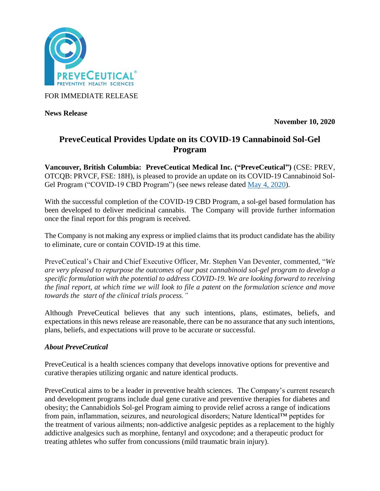

FOR IMMEDIATE RELEASE

**News Release** 

**November 10, 2020**

# **PreveCeutical Provides Update on its COVID-19 Cannabinoid Sol-Gel Program**

**Vancouver, British Columbia: PreveCeutical Medical Inc. ("PreveCeutical")** (CSE: PREV, OTCQB: PRVCF, FSE: 18H), is pleased to provide an update on its COVID-19 Cannabinoid Sol-Gel Program ("COVID-19 CBD Program") (see news release dated [May 4, 2020\)](https://www.preveceutical.com/investors/news/preveceutical-announces-possible-viral-prevention-program-using-cbd-sol-gel).

With the successful completion of the COVID-19 CBD Program, a sol-gel based formulation has been developed to deliver medicinal cannabis. The Company will provide further information once the final report for this program is received.

The Company is not making any express or implied claims that its product candidate has the ability to eliminate, cure or contain COVID-19 at this time.

PreveCeutical's Chair and Chief Executive Officer, Mr. Stephen Van Deventer, commented, "*We are very pleased to repurpose the outcomes of our past cannabinoid sol-gel program to develop a specific formulation with the potential to address COVID-19. We are looking forward to receiving the final report, at which time we will look to file a patent on the formulation science and move towards the start of the clinical trials process."*

Although PreveCeutical believes that any such intentions, plans, estimates, beliefs, and expectations in this news release are reasonable, there can be no assurance that any such intentions, plans, beliefs, and expectations will prove to be accurate or successful.

## *About PreveCeutical*

PreveCeutical is a health sciences company that develops innovative options for preventive and curative therapies utilizing organic and nature identical products.

PreveCeutical aims to be a leader in preventive health sciences. The Company's current research and development programs include dual gene curative and preventive therapies for diabetes and obesity; the Cannabidiols Sol-gel Program aiming to provide relief across a range of indications from pain, inflammation, seizures, and neurological disorders; Nature Identical™ peptides for the treatment of various ailments; non-addictive analgesic peptides as a replacement to the highly addictive analgesics such as morphine, fentanyl and oxycodone; and a therapeutic product for treating athletes who suffer from concussions (mild traumatic brain injury).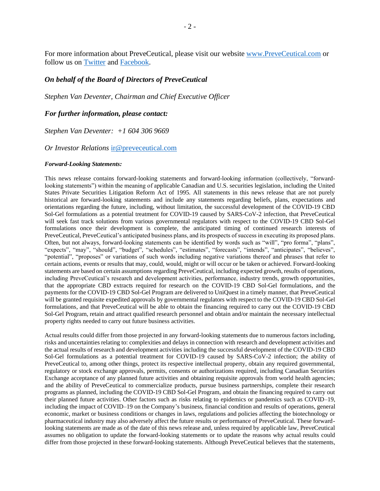For more information about PreveCeutical, please visit our website [www.PreveCeutical.com](http://www.preveceutical.com/) or follow us on [Twitter](http://twitter.com/PreveCeuticals) and [Facebook.](http://www.facebook.com/PreveCeutical)

### *On behalf of the Board of Directors of PreveCeutical*

*Stephen Van Deventer, Chairman and Chief Executive Officer*

### *For further information, please contact:*

*Stephen Van Deventer: +1 604 306 9669*

#### *Or Investor Relations* [ir@preveceutical.com](mailto:ir@preveceutical.com)

#### *Forward-Looking Statements:*

This news release contains forward-looking statements and forward-looking information (collectively, "forwardlooking statements") within the meaning of applicable Canadian and U.S. securities legislation, including the United States Private Securities Litigation Reform Act of 1995. All statements in this news release that are not purely historical are forward-looking statements and include any statements regarding beliefs, plans, expectations and orientations regarding the future, including, without limitation, the successful development of the COVID-19 CBD Sol-Gel formulations as a potential treatment for COVID-19 caused by SARS-CoV-2 infection, that PreveCeutical will seek fast track solutions from various governmental regulators with respect to the COVID-19 CBD Sol-Gel formulations once their development is complete, the anticipated timing of continued research interests of PreveCeutical, PreveCeutical's anticipated business plans, and its prospects of success in executing its proposed plans. Often, but not always, forward-looking statements can be identified by words such as "will", "pro forma", "plans", "expects", "may", "should", "budget", "schedules", "estimates", "forecasts", "intends", "anticipates", "believes", "potential", "proposes" or variations of such words including negative variations thereof and phrases that refer to certain actions, events or results that may, could, would, might or will occur or be taken or achieved. Forward-looking statements are based on certain assumptions regarding PreveCeutical, including expected growth, results of operations, including PreveCeutical's research and development activities, performance, industry trends, growth opportunities, that the appropriate CBD extracts required for research on the COVID-19 CBD Sol-Gel formulations, and the payments for the COVID-19 CBD Sol-Gel Program are delivered to UniQuest in a timely manner, that PreveCeutical will be granted requisite expedited approvals by governmental regulators with respect to the COVID-19 CBD Sol-Gel formulations, and that PreveCeutical will be able to obtain the financing required to carry out the COVID-19 CBD Sol-Gel Program, retain and attract qualified research personnel and obtain and/or maintain the necessary intellectual property rights needed to carry out future business activities.

Actual results could differ from those projected in any forward-looking statements due to numerous factors including, risks and uncertainties relating to: complexities and delays in connection with research and development activities and the actual results of research and development activities including the successful development of the COVID-19 CBD Sol-Gel formulations as a potential treatment for COVID-19 caused by SARS-CoV-2 infection; the ability of PreveCeutical to, among other things, protect its respective intellectual property, obtain any required governmental, regulatory or stock exchange approvals, permits, consents or authorizations required, including Canadian Securities Exchange acceptance of any planned future activities and obtaining requisite approvals from world health agencies; and the ability of PreveCeutical to commercialize products, pursue business partnerships, complete their research programs as planned, including the COVID-19 CBD Sol-Gel Program, and obtain the financing required to carry out their planned future activities. Other factors such as risks relating to epidemics or pandemics such as COVID–19, including the impact of COVID–19 on the Company's business, financial condition and results of operations, general economic, market or business conditions or changes in laws, regulations and policies affecting the biotechnology or pharmaceutical industry may also adversely affect the future results or performance of PreveCeutical. These forwardlooking statements are made as of the date of this news release and, unless required by applicable law, PreveCeutical assumes no obligation to update the forward-looking statements or to update the reasons why actual results could differ from those projected in these forward-looking statements. Although PreveCeutical believes that the statements,